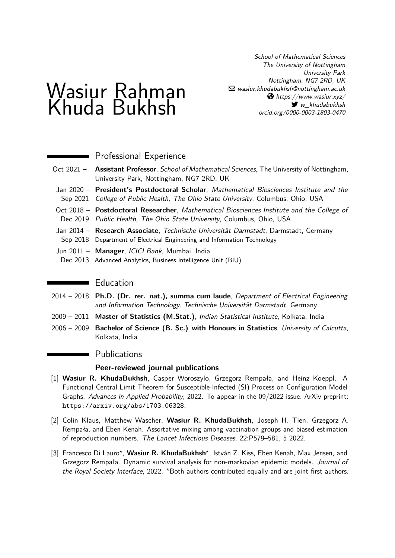School of Mathematical Sciences The University of Nottingham University Park Nottingham, NG7 2RD, UK  $\boxdot$  [wasiur.khudabukhsh@nottingham.ac.uk](mailto:wasiur.khudabukhsh@nottingham.ac.uk)  $\bigcirc$  [https://www.wasiur.xyz/](https://https://www.wasiur.xyz/)  $\blacktriangleright$  [w\\_khudabukhsh](https://twitter.com/w_khudabukhsh) [orcid.org/0000-0003-1803-0470](https://orcid.org/0000-0003-1803-0470)

# Wasiur Rahman Khuda Bukhsh

**Professional Experience** 

- Oct 2021 **Assistant Professor**, School of Mathematical Sciences, The University of Nottingham, University Park, Nottingham, NG7 2RD, UK
- Jan 2020 **President's Postdoctoral Scholar**, [Mathematical Biosciences Institute](https://mbi.osu.edu/) and the Sep 2021 College of Public Health, [The Ohio State University](https://www.osu.edu/), Columbus, Ohio, USA
- Oct 2018 Postdoctoral Researcher, [Mathematical Biosciences Institute](https://mbi.osu.edu/) and the College of Dec 2019 Public Health, [The Ohio State University](https://www.osu.edu/), Columbus, Ohio, USA
- Jan 2014 **Research Associate**, [Technische Universität Darmstadt](http://www.tu-darmstadt.de/index.en.jsp), Darmstadt, Germany Sep 2018 [Department of Electrical Engineering and Information Technology](http://www.etit.tu-darmstadt.de/fachbereich/index.de.jsp)
- Jun 2011 **Manager**, [ICICI Bank](http://www.icicibank.com/), Mumbai, India
- Dec 2013 Advanced Analytics, Business Intelligence Unit (BIU)

#### $\blacksquare$  Education

- 2014 2018 **Ph.D. (Dr. rer. nat.), summa cum laude**, Department of Electrical Engineering and Information Technology, [Technische Universität Darmstadt](http://www.tu-darmstadt.de/index.en.jsp), Germany
- 2009 2011 **[Master of Statistics \(M.Stat.\)](http://www.isical.ac.in/~deanweb/brochure/mstat2010.pdf)**, [Indian Statistical Institute](http://www.isical.ac.in/), Kolkata, India
- 2006 2009 **Bachelor of Science (B. Sc.) with Honours in Statistics**, [University of Calcutta](http://www.caluniv.ac.in/), Kolkata, India

#### **Publications**

#### **Peer-reviewed journal publications**

- [1] **Wasiur R. KhudaBukhsh**, Casper Woroszylo, Grzegorz Rempała, and Heinz Koeppl. A Functional Central Limit Theorem for Susceptible-Infected (SI) Process on Configuration Model Graphs. Advances in Applied Probability, 2022. To appear in the 09/2022 issue. ArXiv preprint: <https://arxiv.org/abs/1703.06328>.
- [2] Colin Klaus, Matthew Wascher, **Wasiur R. KhudaBukhsh**, Joseph H. Tien, Grzegorz A. Rempała, and Eben Kenah. Assortative mixing among vaccination groups and biased estimation of reproduction numbers. The Lancet Infectious Diseases, 22:P579–581, 5 2022.
- [3] Francesco Di Lauro\*, Wasiur R. KhudaBukhsh\*, István Z. Kiss, Eben Kenah, Max Jensen, and Grzegorz Rempała. Dynamic survival analysis for non-markovian epidemic models. Journal of the Royal Society Interface, 2022.  $*$ Both authors contributed equally and are joint first authors.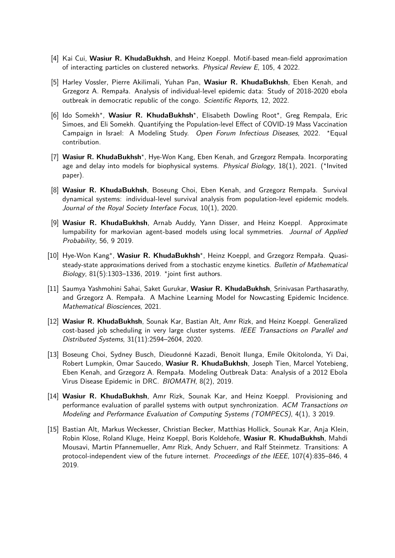- [4] Kai Cui, **Wasiur R. KhudaBukhsh**, and Heinz Koeppl. Motif-based mean-field approximation of interacting particles on clustered networks. Physical Review E, 105, 4 2022.
- [5] Harley Vossler, Pierre Akilimali, Yuhan Pan, **Wasiur R. KhudaBukhsh**, Eben Kenah, and Grzegorz A. Rempała. Analysis of individual-level epidemic data: Study of 2018-2020 ebola outbreak in democratic republic of the congo. Scientific Reports, 12, 2022.
- [6] Ido Somekh<sup>\*</sup>, Wasiur R. KhudaBukhsh<sup>\*</sup>, Elisabeth Dowling Root<sup>\*</sup>, Greg Rempala, Eric Simoes, and Eli Somekh. Quantifying the Population-level Effect of COVID-19 Mass Vaccination Campaign in Israel: A Modeling Study. Open Forum Infectious Diseases, 2022. \*Equal contribution.
- [7] Wasiur R. KhudaBukhsh<sup>\*</sup>, Hye-Won Kang, Eben Kenah, and Grzegorz Rempała. Incorporating age and delay into models for biophysical systems. Physical Biology, 18(1), 2021. (\*Invited paper).
- [8] **Wasiur R. KhudaBukhsh**, Boseung Choi, Eben Kenah, and Grzegorz Rempała. Survival dynamical systems: individual-level survival analysis from population-level epidemic models. Journal of the Royal Society Interface Focus, 10(1), 2020.
- <span id="page-1-1"></span>[9] **Wasiur R. KhudaBukhsh**, Arnab Auddy, Yann Disser, and Heinz Koeppl. Approximate lumpability for markovian agent-based models using local symmetries. Journal of Applied Probability, 56, 9 2019.
- [10] Hye-Won Kang\*, Wasiur R. KhudaBukhsh<sup>\*</sup>, Heinz Koeppl, and Grzegorz Rempała. Quasisteady-state approximations derived from a stochastic enzyme kinetics. Bulletin of Mathematical Biology, 81(5):1303-1336, 2019. \* joint first authors.
- [11] Saumya Yashmohini Sahai, Saket Gurukar, **Wasiur R. KhudaBukhsh**, Srinivasan Parthasarathy, and Grzegorz A. Rempała. A Machine Learning Model for Nowcasting Epidemic Incidence. Mathematical Biosciences, 2021.
- [12] **Wasiur R. KhudaBukhsh**, Sounak Kar, Bastian Alt, Amr Rizk, and Heinz Koeppl. Generalized cost-based job scheduling in very large cluster systems. IEEE Transactions on Parallel and Distributed Systems, 31(11):2594–2604, 2020.
- <span id="page-1-0"></span>[13] Boseung Choi, Sydney Busch, Dieudonné Kazadi, Benoit Ilunga, Emile Okitolonda, Yi Dai, Robert Lumpkin, Omar Saucedo, **Wasiur R. KhudaBukhsh**, Joseph Tien, Marcel Yotebieng, Eben Kenah, and Grzegorz A. Rempała. Modeling Outbreak Data: Analysis of a 2012 Ebola Virus Disease Epidemic in DRC. BIOMATH, 8(2), 2019.
- [14] **Wasiur R. KhudaBukhsh**, Amr Rizk, Sounak Kar, and Heinz Koeppl. Provisioning and performance evaluation of parallel systems with output synchronization. ACM Transactions on Modeling and Performance Evaluation of Computing Systems (TOMPECS), 4(1), 3 2019.
- [15] Bastian Alt, Markus Weckesser, Christian Becker, Matthias Hollick, Sounak Kar, Anja Klein, Robin Klose, Roland Kluge, Heinz Koeppl, Boris Koldehofe, **Wasiur R. KhudaBukhsh**, Mahdi Mousavi, Martin Pfannemueller, Amr Rizk, Andy Schuerr, and Ralf Steinmetz. Transitions: A protocol-independent view of the future internet. Proceedings of the IEEE, 107(4):835–846, 4 2019.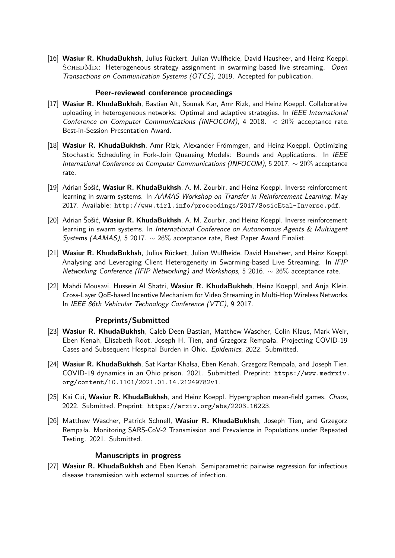[16] **Wasiur R. KhudaBukhsh**, Julius Rückert, Julian Wulfheide, David Hausheer, and Heinz Koeppl. SCHEDMIX: Heterogeneous strategy assignment in swarming-based live streaming. Open Transactions on Communication Systems (OTCS), 2019. Accepted for publication.

#### **Peer-reviewed conference proceedings**

- [17] **Wasiur R. KhudaBukhsh**, Bastian Alt, Sounak Kar, Amr Rizk, and Heinz Koeppl. Collaborative uploading in heterogeneous networks: Optimal and adaptive strategies. In IEEE International Conference on Computer Communications (INFOCOM), 4 2018.  $<$  20% acceptance rate. Best-in-Session Presentation Award.
- [18] **Wasiur R. KhudaBukhsh**, Amr Rizk, Alexander Frömmgen, and Heinz Koeppl. Optimizing Stochastic Scheduling in Fork-Join Queueing Models: Bounds and Applications. In IEEE International Conference on Computer Communications (INFOCOM), 5 2017. ∼ 20% acceptance rate.
- [19] Adrian Šošić, **Wasiur R. KhudaBukhsh**, A. M. Zourbir, and Heinz Koeppl. Inverse reinforcement learning in swarm systems. In AAMAS Workshop on Transfer in Reinforcement Learning, May 2017. Available: <http://www.tirl.info/proceedings/2017/SosicEtal-Inverse.pdf>.
- [20] Adrian Šošić, **Wasiur R. KhudaBukhsh**, A. M. Zourbir, and Heinz Koeppl. Inverse reinforcement learning in swarm systems. In International Conference on Autonomous Agents & Multiagent Systems (AAMAS), 5 2017.  $\sim 26\%$  acceptance rate, Best Paper Award Finalist.
- [21] **Wasiur R. KhudaBukhsh**, Julius Rückert, Julian Wulfheide, David Hausheer, and Heinz Koeppl. Analysing and Leveraging Client Heterogeneity in Swarming-based Live Streaming. In IFIP Networking Conference (IFIP Networking) and Workshops, 5 2016. ∼ 26% acceptance rate.
- [22] Mahdi Mousavi, Hussein Al Shatri, **Wasiur R. KhudaBukhsh**, Heinz Koeppl, and Anja Klein. Cross-Layer QoE-based Incentive Mechanism for Video Streaming in Multi-Hop Wireless Networks. In IEEE 86th Vehicular Technology Conference (VTC), 9 2017.

#### **Preprints/Submitted**

- [23] **Wasiur R. KhudaBukhsh**, Caleb Deen Bastian, Matthew Wascher, Colin Klaus, Mark Weir, Eben Kenah, Elisabeth Root, Joseph H. Tien, and Grzegorz Rempała. Projecting COVID-19 Cases and Subsequent Hospital Burden in Ohio. Epidemics, 2022. Submitted.
- [24] **Wasiur R. KhudaBukhsh**, Sat Kartar Khalsa, Eben Kenah, Grzegorz Rempała, and Joseph Tien. COVID-19 dynamics in an Ohio prison. 2021. Submitted. Preprint: [https://www.medrxiv.](https://www.medrxiv.org/content/10.1101/2021.01.14.21249782v1) [org/content/10.1101/2021.01.14.21249782v1](https://www.medrxiv.org/content/10.1101/2021.01.14.21249782v1).
- [25] Kai Cui, **Wasiur R. KhudaBukhsh**, and Heinz Koeppl. Hypergraphon mean-field games. Chaos, 2022. Submitted. Preprint: <https://arxiv.org/abs/2203.16223>.
- [26] Matthew Wascher, Patrick Schnell, **Wasiur R. KhudaBukhsh**, Joseph Tien, and Grzegorz Rempała. Monitoring SARS-CoV-2 Transmission and Prevalence in Populations under Repeated Testing. 2021. Submitted.

#### **Manuscripts in progress**

[27] **Wasiur R. KhudaBukhsh** and Eben Kenah. Semiparametric pairwise regression for infectious disease transmission with external sources of infection.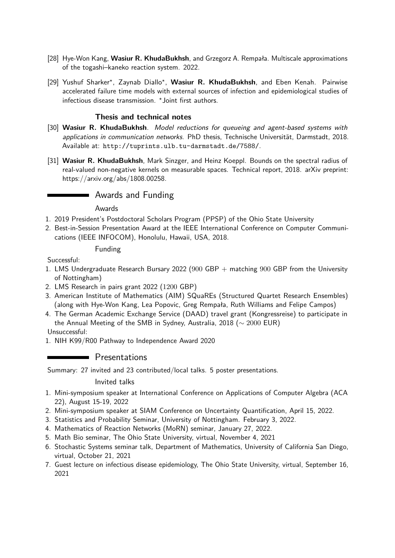- [28] Hye-Won Kang, **Wasiur R. KhudaBukhsh**, and Grzegorz A. Rempała. Multiscale approximations of the togashi–kaneko reaction system. 2022.
- [29] Yushuf Sharker\*, Zaynab Diallo\*, Wasiur R. KhudaBukhsh, and Eben Kenah. Pairwise accelerated failure time models with external sources of infection and epidemiological studies of infectious disease transmission.  $\star$  Joint first authors.

## **Thesis and technical notes**

- [30] **Wasiur R. KhudaBukhsh**. Model reductions for queueing and agent-based systems with applications in communication networks. PhD thesis, Technische Universität, Darmstadt, 2018. Available at: <http://tuprints.ulb.tu-darmstadt.de/7588/>.
- [31] **Wasiur R. KhudaBukhsh**, Mark Sinzger, and Heinz Koeppl. Bounds on the spectral radius of real-valued non-negative kernels on measurable spaces. Technical report, 2018. arXiv preprint: https://arxiv.org/abs/1808.00258.

# Awards and Funding

#### Awards

- 1. 2019 President's Postdoctoral Scholars Program (PPSP) of the Ohio State University
- 2. Best-in-Session Presentation Award at the IEEE International Conference on Computer Communications (IEEE INFOCOM), Honolulu, Hawaii, USA, 2018.

#### Funding

Successful:

- 1. LMS Undergraduate Research Bursary 2022 (900 GBP + matching 900 GBP from the University of Nottingham)
- 2. LMS Research in pairs grant 2022 (1200 GBP)
- 3. American Institute of Mathematics (AIM) SQuaREs (Structured Quartet Research Ensembles) (along with Hye-Won Kang, Lea Popovic, Greg Rempała, Ruth Williams and Felipe Campos)
- 4. The German Academic Exchange Service (DAAD) travel grant (Kongressreise) to participate in the Annual Meeting of the SMB in Sydney, Australia, 2018 ( $\sim$  2000 EUR)

Unsuccessful:

1. NIH K99/R00 Pathway to Independence Award 2020

# **Presentations**

Summary: 27 invited and 23 contributed/local talks. 5 poster presentations.

#### Invited talks

- 1. Mini-symposium speaker at International Conference on Applications of Computer Algebra (ACA 22), August 15-19, 2022
- 2. Mini-symposium speaker at SIAM Conference on Uncertainty Quantification, April 15, 2022.
- 3. Statistics and Probability Seminar, University of Nottingham. February 3, 2022.
- 4. Mathematics of Reaction Networks (MoRN) seminar, January 27, 2022.
- 5. Math Bio seminar, The Ohio State University, virtual, November 4, 2021
- 6. Stochastic Systems seminar talk, Department of Mathematics, University of California San Diego, virtual, October 21, 2021
- 7. Guest lecture on infectious disease epidemiology, The Ohio State University, virtual, September 16, 2021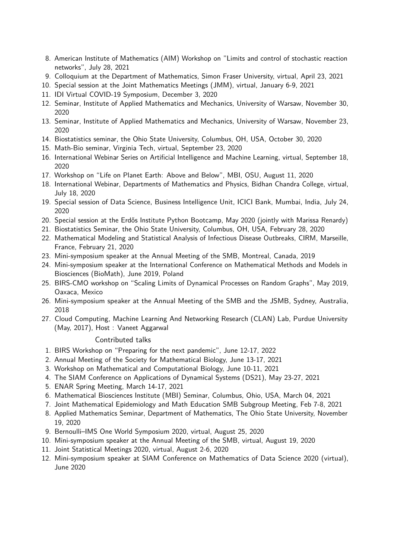- 8. American Institute of Mathematics (AIM) Workshop on "Limits and control of stochastic reaction networks", July 28, 2021
- 9. Colloquium at the Department of Mathematics, Simon Fraser University, virtual, April 23, 2021
- 10. Special session at the Joint Mathematics Meetings (JMM), virtual, January 6-9, 2021
- 11. IDI Virtual COVID-19 Symposium, December 3, 2020
- 12. Seminar, Institute of Applied Mathematics and Mechanics, University of Warsaw, November 30, 2020
- 13. Seminar, Institute of Applied Mathematics and Mechanics, University of Warsaw, November 23, 2020
- 14. Biostatistics seminar, the Ohio State University, Columbus, OH, USA, October 30, 2020
- 15. Math-Bio seminar, Virginia Tech, virtual, September 23, 2020
- 16. International Webinar Series on Artificial Intelligence and Machine Learning, virtual, September 18, 2020
- 17. Workshop on "Life on Planet Earth: Above and Below", MBI, OSU, August 11, 2020
- 18. International Webinar, Departments of Mathematics and Physics, Bidhan Chandra College, virtual, July 18, 2020
- 19. Special session of Data Science, Business Intelligence Unit, ICICI Bank, Mumbai, India, July 24, 2020
- 20. Special session at the Erdős Institute Python Bootcamp, May 2020 (jointly with Marissa Renardy)
- 21. Biostatistics Seminar, the Ohio State University, Columbus, OH, USA, February 28, 2020
- 22. Mathematical Modeling and Statistical Analysis of Infectious Disease Outbreaks, CIRM, Marseille, France, February 21, 2020
- 23. Mini-symposium speaker at the Annual Meeting of the SMB, Montreal, Canada, 2019
- 24. Mini-symposium speaker at the International Conference on Mathematical Methods and Models in Biosciences (BioMath), June 2019, Poland
- 25. BIRS-CMO workshop on "Scaling Limits of Dynamical Processes on Random Graphs", May 2019, Oaxaca, Mexico
- 26. Mini-symposium speaker at the Annual Meeting of the SMB and the JSMB, Sydney, Australia, 2018
- 27. Cloud Computing, Machine Learning And Networking Research (CLAN) Lab, Purdue University (May, 2017), Host: [Vaneet Aggarwal](http://web.ics.purdue.edu/~vaneet/)

#### Contributed talks

- 1. BIRS Workshop on "Preparing for the next pandemic", June 12-17, 2022
- 2. Annual Meeting of the Society for Mathematical Biology, June 13-17, 2021
- 3. Workshop on Mathematical and Computational Biology, June 10-11, 2021
- 4. The SIAM Conference on Applications of Dynamical Systems (DS21), May 23-27, 2021
- 5. ENAR Spring Meeting, March 14-17, 2021
- 6. Mathematical Biosciences Institute (MBI) Seminar, Columbus, Ohio, USA, March 04, 2021
- 7. Joint Mathematical Epidemiology and Math Education SMB Subgroup Meeting, Feb 7-8, 2021
- 8. Applied Mathematics Seminar, Department of Mathematics, The Ohio State University, November 19, 2020
- 9. Bernoulli–IMS One World Symposium 2020, virtual, August 25, 2020
- 10. Mini-symposium speaker at the Annual Meeting of the SMB, virtual, August 19, 2020
- 11. Joint Statistical Meetings 2020, virtual, August 2-6, 2020
- 12. Mini-symposium speaker at SIAM Conference on Mathematics of Data Science 2020 (virtual), June 2020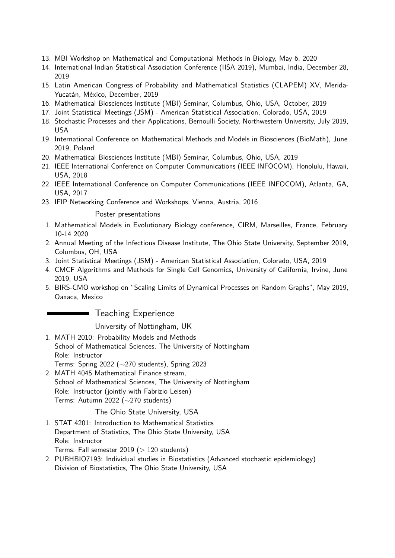- 13. MBI Workshop on Mathematical and Computational Methods in Biology, May 6, 2020
- 14. International Indian Statistical Association Conference (IISA 2019), Mumbai, India, December 28, 2019
- 15. Latin American Congress of Probability and Mathematical Statistics (CLAPEM) XV, Merida-Yucatán, México, December, 2019
- 16. Mathematical Biosciences Institute (MBI) Seminar, Columbus, Ohio, USA, October, 2019
- 17. Joint Statistical Meetings (JSM) American Statistical Association, Colorado, USA, 2019
- 18. Stochastic Processes and their Applications, Bernoulli Society, Northwestern University, July 2019, USA
- 19. International Conference on Mathematical Methods and Models in Biosciences (BioMath), June 2019, Poland
- 20. Mathematical Biosciences Institute (MBI) Seminar, Columbus, Ohio, USA, 2019
- 21. IEEE International Conference on Computer Communications (IEEE INFOCOM), Honolulu, Hawaii, USA, 2018
- 22. IEEE International Conference on Computer Communications (IEEE INFOCOM), Atlanta, GA, USA, 2017
- 23. IFIP Networking Conference and Workshops, Vienna, Austria, 2016

#### Poster presentations

- 1. Mathematical Models in Evolutionary Biology conference, CIRM, Marseilles, France, February 10-14 2020
- 2. Annual Meeting of the Infectious Disease Institute, The Ohio State University, September 2019, Columbus, OH, USA
- 3. Joint Statistical Meetings (JSM) American Statistical Association, Colorado, USA, 2019
- 4. CMCF Algorithms and Methods for Single Cell Genomics, University of California, Irvine, June 2019, USA
- 5. BIRS-CMO workshop on "Scaling Limits of Dynamical Processes on Random Graphs", May 2019, Oaxaca, Mexico

#### Teaching Experience

University of Nottingham, UK

- 1. MATH 2010: Probability Models and Methods School of Mathematical Sciences, The University of Nottingham Role: Instructor Terms: Spring 2022 (∼270 students), Spring 2023
- 2. MATH 4045 Mathematical Finance stream, School of Mathematical Sciences, The University of Nottingham Role: Instructor (jointly with Fabrizio Leisen) Terms: Autumn 2022 (∼270 students)

#### The Ohio State University, USA

- 1. STAT 4201: Introduction to Mathematical Statistics Department of Statistics, The Ohio State University, USA Role: Instructor Terms: Fall semester  $2019$  ( $> 120$  students)
- 2. PUBHBIO7193: Individual studies in Biostatistics (Advanced stochastic epidemiology) Division of Biostatistics, The Ohio State University, USA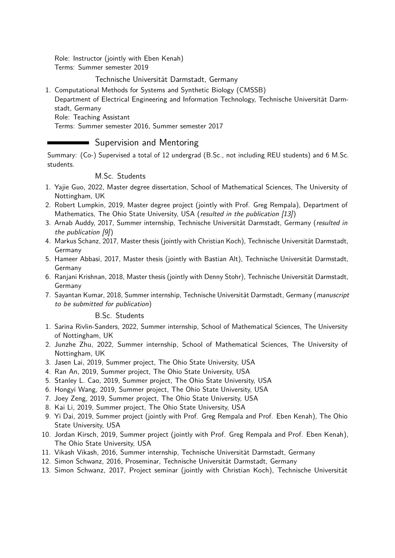Role: Instructor (jointly with Eben Kenah) Terms: Summer semester 2019

## Technische Universität Darmstadt, Germany

- 1. Computational Methods for Systems and Synthetic Biology (CMSSB)
- Department of Electrical Engineering and Information Technology, [Technische Universität Darm](http://www.tu-darmstadt.de/index.en.jsp)[stadt,](http://www.tu-darmstadt.de/index.en.jsp) Germany

Role: Teaching Assistant

Terms: Summer semester 2016, Summer semester 2017

# **Supervision and Mentoring**

Summary: (Co-) Supervised a total of 12 undergrad (B.Sc., not including REU students) and 6 M.Sc. students.

#### M.Sc. Students

- 1. Yajie Guo, 2022, Master degree dissertation, School of Mathematical Sciences, The University of Nottingham, UK
- 2. Robert Lumpkin, 2019, Master degree project (jointly with Prof. Greg Rempala), Department of Mathematics, The Ohio State University, USA (resulted in the publication [\[13\]](#page-1-0))
- 3. Arnab Auddy, 2017, Summer internship, [Technische Universität Darmstadt,](http://www.tu-darmstadt.de/index.en.jsp) Germany (resulted in the publication [\[9\]](#page-1-1))
- 4. Markus Schanz, 2017, Master thesis (jointly with Christian Koch), [Technische Universität Darmstadt,](http://www.tu-darmstadt.de/index.en.jsp) Germany
- 5. Hameer Abbasi, 2017, Master thesis (jointly with Bastian Alt), [Technische Universität Darmstadt,](http://www.tu-darmstadt.de/index.en.jsp) Germany
- 6. Ranjani Krishnan, 2018, Master thesis (jointly with Denny Stohr), [Technische Universität Darmstadt,](http://www.tu-darmstadt.de/index.en.jsp) Germany
- 7. Sayantan Kumar, 2018, Summer internship, [Technische Universität Darmstadt,](http://www.tu-darmstadt.de/index.en.jsp) Germany (manuscript to be submitted for publication)

B.Sc. Students

- 1. Sarina Rivlin-Sanders, 2022, Summer internship, School of Mathematical Sciences, The University of Nottingham, UK
- 2. Junzhe Zhu, 2022, Summer internship, School of Mathematical Sciences, The University of Nottingham, UK
- 3. Jasen Lai, 2019, Summer project, The Ohio State University, USA
- 4. Ran An, 2019, Summer project, The Ohio State University, USA
- 5. Stanley L. Cao, 2019, Summer project, The Ohio State University, USA
- 6. Hongyi Wang, 2019, Summer project, The Ohio State University, USA
- 7. Joey Zeng, 2019, Summer project, The Ohio State University, USA
- 8. Kai Li, 2019, Summer project, The Ohio State University, USA
- 9. Yi Dai, 2019, Summer project (jointly with Prof. Greg Rempala and Prof. Eben Kenah), The Ohio State University, USA
- 10. Jordan Kirsch, 2019, Summer project (jointly with Prof. Greg Rempala and Prof. Eben Kenah), The Ohio State University, USA
- 11. Vikash Vikash, 2016, Summer internship, [Technische Universität Darmstadt,](http://www.tu-darmstadt.de/index.en.jsp) Germany
- 12. Simon Schwanz, 2016, Proseminar, [Technische Universität Darmstadt,](http://www.tu-darmstadt.de/index.en.jsp) Germany
- 13. Simon Schwanz, 2017, Project seminar (jointly with Christian Koch), [Technische Universität](http://www.tu-darmstadt.de/index.en.jsp)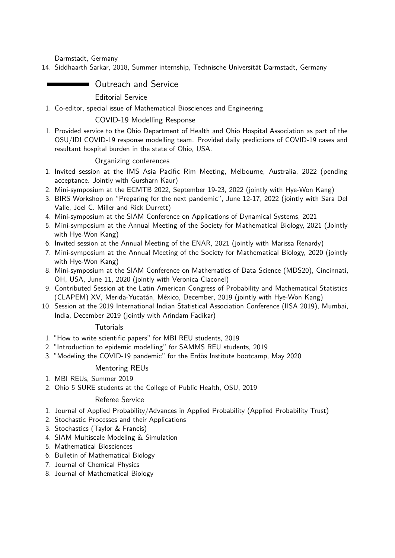[Darmstadt,](http://www.tu-darmstadt.de/index.en.jsp) Germany

14. Siddhaarth Sarkar, 2018, Summer internship, [Technische Universität Darmstadt,](http://www.tu-darmstadt.de/index.en.jsp) Germany

# **Dutreach and Service**

Editorial Service

1. Co-editor, special issue of Mathematical Biosciences and Engineering

## COVID-19 Modelling Response

1. Provided service to the Ohio Department of Health and Ohio Hospital Association as part of the OSU/IDI COVID-19 response modelling team. Provided daily predictions of COVID-19 cases and resultant hospital burden in the state of Ohio, USA.

## Organizing conferences

- 1. Invited session at the IMS Asia Pacific Rim Meeting, Melbourne, Australia, 2022 (pending acceptance. Jointly with Gursharn Kaur)
- 2. Mini-symposium at the ECMTB 2022, September 19-23, 2022 (jointly with Hye-Won Kang)
- 3. BIRS Workshop on "Preparing for the next pandemic", June 12-17, 2022 (jointly with Sara Del Valle, Joel C. Miller and Rick Durrett)
- 4. Mini-symposium at the SIAM Conference on Applications of Dynamical Systems, 2021
- 5. Mini-symposium at the Annual Meeting of the Society for Mathematical Biology, 2021 (Jointly with Hye-Won Kang)
- 6. Invited session at the Annual Meeting of the ENAR, 2021 (jointly with Marissa Renardy)
- 7. Mini-symposium at the Annual Meeting of the Society for Mathematical Biology, 2020 (jointly with Hye-Won Kang)
- 8. Mini-symposium at the SIAM Conference on Mathematics of Data Science (MDS20), Cincinnati, OH, USA, June 11, 2020 (jointly with Veronica Ciaconel)
- 9. Contributed Session at the Latin American Congress of Probability and Mathematical Statistics (CLAPEM) XV, Merida-Yucatán, México, December, 2019 (jointly with Hye-Won Kang)
- 10. Session at the 2019 International Indian Statistical Association Conference (IISA 2019), Mumbai, India, December 2019 (jointly with Arindam Fadikar)

#### **Tutorials**

- 1. "How to write scientific papers" for MBI REU students, 2019
- 2. "Introduction to epidemic modelling" for SAMMS REU students, 2019
- 3. "Modeling the COVID-19 pandemic" for the Erdös Institute bootcamp, May 2020

#### Mentoring REUs

- 1. MBI REUs, Summer 2019
- 2. Ohio 5 SURE students at the College of Public Health, OSU, 2019

# Referee Service

- 1. Journal of Applied Probability/Advances in Applied Probability (Applied Probability Trust)
- 2. Stochastic Processes and their Applications
- 3. Stochastics (Taylor & Francis)
- 4. SIAM Multiscale Modeling & Simulation
- 5. Mathematical Biosciences
- 6. Bulletin of Mathematical Biology
- 7. Journal of Chemical Physics
- 8. Journal of Mathematical Biology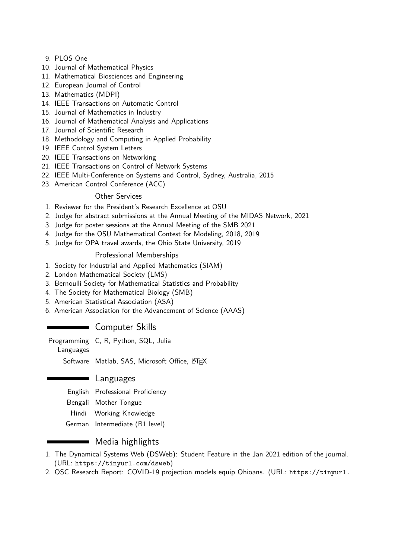- 9. PLOS One
- 10. Journal of Mathematical Physics
- 11. Mathematical Biosciences and Engineering
- 12. European Journal of Control
- 13. Mathematics (MDPI)
- 14. IEEE Transactions on Automatic Control
- 15. Journal of Mathematics in Industry
- 16. Journal of Mathematical Analysis and Applications
- 17. Journal of Scientific Research
- 18. Methodology and Computing in Applied Probability
- 19. IEEE Control System Letters
- 20. IEEE Transactions on Networking
- 21. IEEE Transactions on Control of Network Systems
- 22. [IEEE Multi-Conference on Systems and Control,](http://msc2015.ieeecss.org/) Sydney, Australia, 2015
- 23. American Control Conference (ACC)

#### Other Services

- 1. Reviewer for the President's Research Excellence at OSU
- 2. Judge for abstract submissions at the Annual Meeting of the MIDAS Network, 2021
- 3. Judge for poster sessions at the Annual Meeting of the SMB 2021
- 4. Judge for the OSU Mathematical Contest for Modeling, 2018, 2019
- 5. Judge for OPA travel awards, the Ohio State University, 2019

#### Professional Memberships

- 1. Society for Industrial and Applied Mathematics (SIAM)
- 2. London Mathematical Society (LMS)
- 3. Bernoulli Society for Mathematical Statistics and Probability
- 4. The Society for Mathematical Biology (SMB)
- 5. American Statistical Association (ASA)
- 6. American Association for the Advancement of Science (AAAS)

# **Computer Skills**

Programming C, R, Python, SQL, Julia

Languages

Software Matlab, SAS, Microsoft Office, LATEX

#### Languages

English Professional Proficiency

- Bengali Mother Tongue
- Hindi Working Knowledge
- German Intermediate (B1 level)

# Media highlights

- 1. [The Dynamical Systems Web \(DSWeb\):](https://dsweb.siam.org/The-Magazine/Article/student-feature-wasiur-rahman-khuda-bukhsh) Student Feature in the Jan 2021 edition of the journal. (URL: <https://tinyurl.com/dsweb>)
- 2. OSC Research Report: COVID-19 projection models equip Ohioans. (URL: [https://tinyurl.](https://tinyurl.com/resrchrprt)